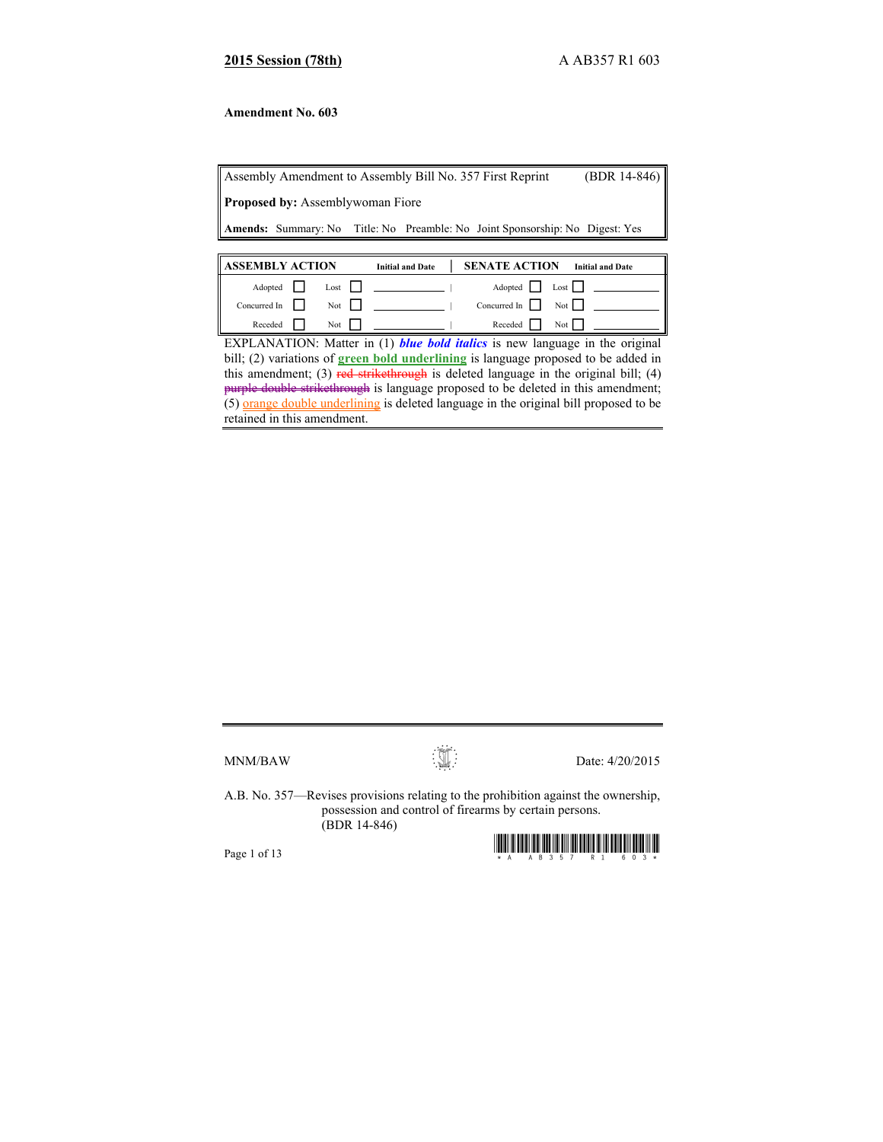## **2015 Session (78th)** A AB357 R1 603

### **Amendment No. 603**

Assembly Amendment to Assembly Bill No. 357 First Reprint (BDR 14-846) **Proposed by:** Assemblywoman Fiore **Amends:** Summary: No Title: No Preamble: No Joint Sponsorship: No Digest: Yes

| <b>ASSEMBLY ACTION</b>     |  |                   | <b>Initial and Date</b> | <b>SENATE ACTION</b> | <b>Initial and Date</b>                      |
|----------------------------|--|-------------------|-------------------------|----------------------|----------------------------------------------|
| Adopted                    |  | Last              |                         |                      | Adopted   Lost                               |
| Concurred In $\vert \vert$ |  | Not $\vert \vert$ |                         |                      | Concurred In $\vert \vert$ Not $\vert \vert$ |
| Receded                    |  | Not               |                         | Receded              | $\text{Not}$                                 |

EXPLANATION: Matter in (1) *blue bold italics* is new language in the original bill; (2) variations of **green bold underlining** is language proposed to be added in this amendment; (3) red strikethrough is deleted language in the original bill; (4) purple double strikethrough is language proposed to be deleted in this amendment; (5) orange double underlining is deleted language in the original bill proposed to be retained in this amendment.



 $MNM/BAW$  Date: 4/20/2015

A.B. No. 357—Revises provisions relating to the prohibition against the ownership, possession and control of firearms by certain persons. (BDR 14-846)

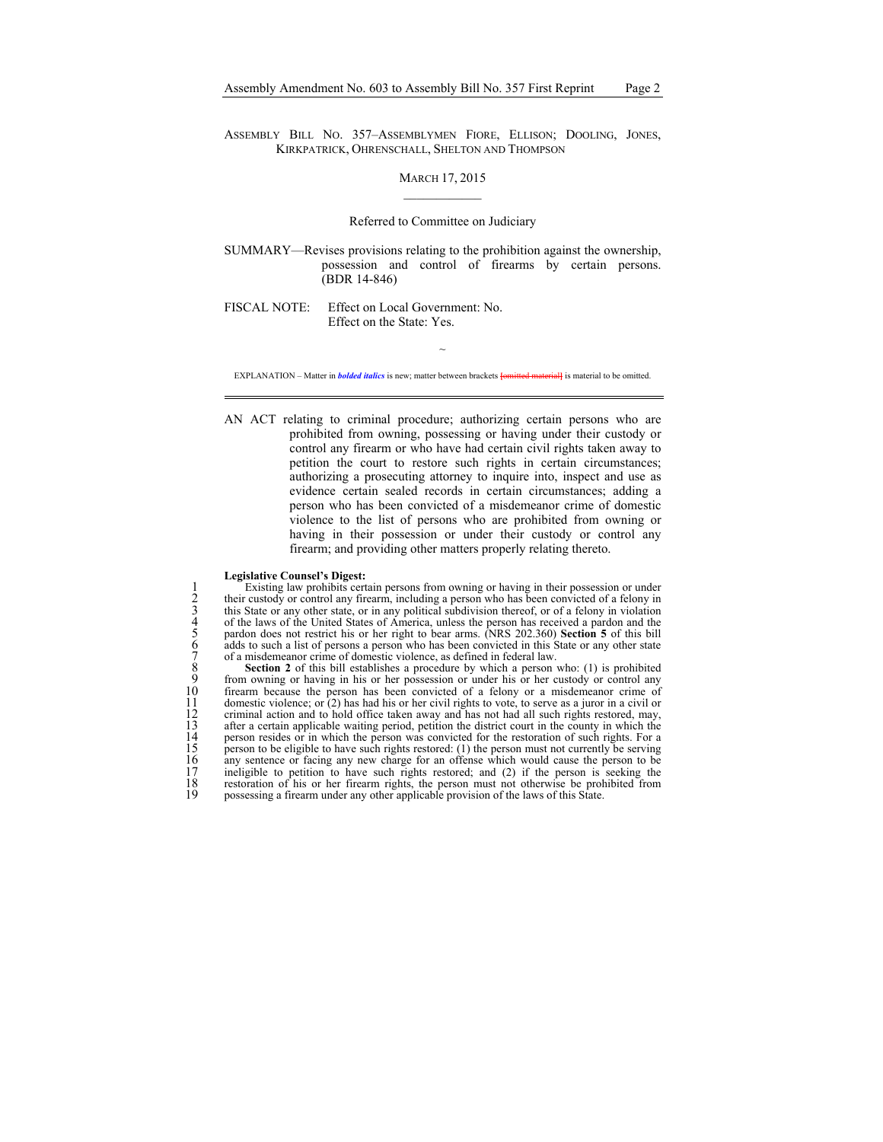ASSEMBLY BILL NO. 357–ASSEMBLYMEN FIORE, ELLISON; DOOLING, JONES, KIRKPATRICK, OHRENSCHALL, SHELTON AND THOMPSON

#### MARCH 17, 2015

#### Referred to Committee on Judiciary

SUMMARY—Revises provisions relating to the prohibition against the ownership, possession and control of firearms by certain persons. (BDR 14-846)

FISCAL NOTE: Effect on Local Government: No. Effect on the State: Yes.

 $\sim$ EXPLANATION – Matter in *bolded italics* is new; matter between brackets **[**omitted material**]** is material to be omitted.

AN ACT relating to criminal procedure; authorizing certain persons who are prohibited from owning, possessing or having under their custody or control any firearm or who have had certain civil rights taken away to petition the court to restore such rights in certain circumstances; authorizing a prosecuting attorney to inquire into, inspect and use as evidence certain sealed records in certain circumstances; adding a person who has been convicted of a misdemeanor crime of domestic violence to the list of persons who are prohibited from owning or having in their possession or under their custody or control any firearm; and providing other matters properly relating thereto.

#### **Legislative Counsel's Digest:**

Existing law prohibits certain persons from owning or having in their possession or under<br>their custody or control any firearm, including a person who has been convicted of a felony in<br>this State or any other state, or in their custody or control any firearm, including a person who has been convicted of a felony in 3 this State or any other state, or in any political subdivision thereof, or of a felony in violation 4 of the laws of the United States of America, unless the person has received a pardon and the 5 pardon does not restrict his or her right to bear arms. (NRS 202.360) **Section 5** of this bill adds to such a list of persons a person who has been convicted in this State or any other state 7 of a misdemeanor crime of domestic violence, as defined in federal law.

8 **Section 2** of this bill establishes a procedure by which a person who: (1) is prohibited 9 from owning or having in his or her possession or under his or her custody or control any<br>10 firearm because the person has been convicted of a felony or a misdemeanor crime of 10 firearm because the person has been convicted of a felony or a misdemeanor crime of domestic violence; or (2) has had his or her civil rights to vote, to serve as a juror in a civil or criminal action and to hold office domestic violence; or  $(2)$  has had his or her civil rights to vote, to serve as a juror in a civil or 12 criminal action and to hold office taken away and has not had all such rights restored, may, after a certain applicable waiting period, petition the district court in the county in which the 13 after a certain applicable waiting period, petition the district court in the county in which the person resides or in which the person was convicted for the restoration of such rights. For a person to be eligible to ha 14 person resides or in which the person was convicted for the restoration of such rights. For a<br>15 person to be eligible to have such rights restored: (1) the person must not currently be serving<br>16 any sentence or facing 17 ineligible to petition to have such rights restored; and (2) if the person is seeking the restoration of his or her firearm rights, the person must not otherwise be prohibited from possessing a firearm under any other a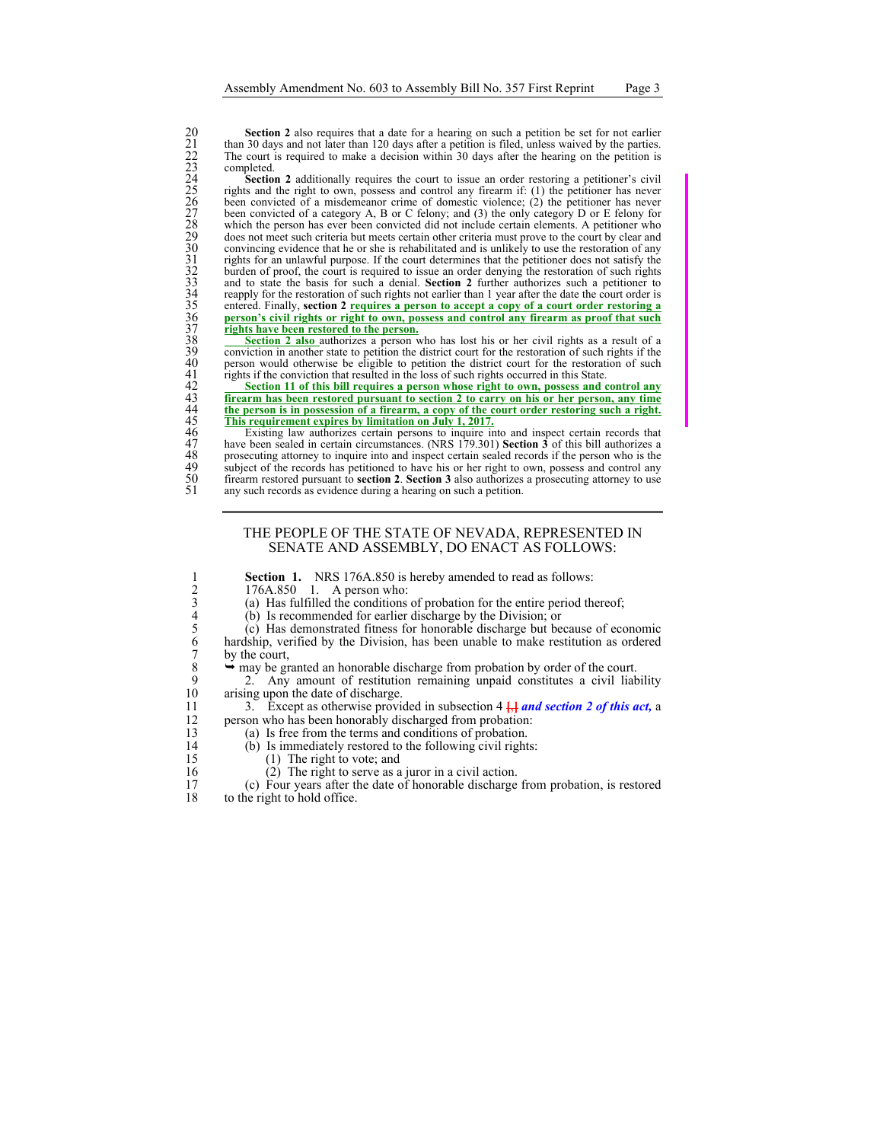21 than 30 days and not later than 120 days after a petition is filed, unless waived by the parties. The court is required to make a decision within 30 days after the hearing on the petition is completed.

20 **Section 2** also requires that a date for a hearing on such a petition be set for not carlier<br>22 the ount is nequired to make a decision within 30 days after the hearing on the petition is<br>20 days after the and 20 days Section 2 additionally requires the court to issue an order restoring a petitioner's civil rights and the right to own, possess and control any firearm if: (1) the petitioner has never been convicted of a misdemeanor crime of domestic violence;  $(2)$  the petitioner has never been convicted of a category A, B or C felony; and  $(3)$  the only category D or E felony for which the person has ever been convicted did not include certain elements. A petitioner who does not meet such criteria but meets certain other criteria must prove to the court by clear and convincing evidence that he or she is rehabilitated and is unlikely to use the restoration of any rights for an unlawful purpose. If the court determines that the petitioner does not satisfy the burden of proof, the court is required to issue an order denying the restoration of such rights 33 and to state the basis for such a denial. **Section 2** further authorizes such a petitioner to reapply for the restoration of such rights not earlier than 1 year after the date the court order is entered. Finally, section 2 **requires a person to accept a copy of a court order restoring a** 36 **person's civil rights or right to own, possess and control any firearm as proof that such**  rights have been restored to the person.

Section 2 also authorizes a person who has lost his or her civil rights as a result of a conviction in another state to petition the district court for the restoration of such rights if the person would otherwise be eligible to petition the district court for the restoration of such rights if the conviction that resulted in the loss of such rights occurred in this State.

42 **Section 11 of this bill requires a person whose right to own, possess and control any**  43 **firearm has been restored pursuant to section 2 to carry on his or her person, any time**  44 **the person is in possession of a firearm, a copy of the court order restoring such a right.** 

**This requirement expires by limitation on July 1, 2017.**<br>46 Existing law authorizes certain persons to inquire in<br>47 have been sealed in certain circumstances. (NRS 179.301<br>48 subject of the records has petitioned to have Existing law authorizes certain persons to inquire into and inspect certain records that have been sealed in certain circumstances. (NRS 179.301) **Section 3** of this bill authorizes a 48 prosecuting attorney to inquire into and inspect certain sealed records if the person who is the subject of the records has petitioned to have his or her right to own, possess and control any firearm restored pursuant to **section 2**. **Section 3** also authorizes a prosecuting attorney to use any such records as evidence during a hearing on such a petition.

## THE PEOPLE OF THE STATE OF NEVADA, REPRESENTED IN SENATE AND ASSEMBLY, DO ENACT AS FOLLOWS:

|     | <b>Section 1.</b> NRS 176A.850 is hereby amended to read as follows:                        |
|-----|---------------------------------------------------------------------------------------------|
|     | $176A.850$ 1. A person who:                                                                 |
|     | (a) Has fulfilled the conditions of probation for the entire period thereof;                |
|     | (b) Is recommended for earlier discharge by the Division; or                                |
|     | (c) Has demonstrated fitness for honorable discharge but because of economic                |
| 6   | hardship, verified by the Division, has been unable to make restitution as ordered          |
|     | by the court.                                                                               |
| -8  | $\rightarrow$ may be granted an honorable discharge from probation by order of the court.   |
| - 9 | 2. Any amount of restitution remaining unpaid constitutes a civil liability                 |
| 10  | arising upon the date of discharge.                                                         |
| 11  | 3. Except as otherwise provided in subsection $4\frac{11}{11}$ and section 2 of this act, a |
| 12  | person who has been honorably discharged from probation:                                    |
| 13  | (a) Is free from the terms and conditions of probation.                                     |
| 14  | (b) Is immediately restored to the following civil rights:                                  |
| 15  | $(1)$ The right to vote; and                                                                |
| 16  | $(2)$ The right to serve as a juror in a civil action                                       |

16 (2) The right to serve as a juror in a civil action.<br>17 (c) Four years after the date of honorable discharge 17 (c) Four years after the date of honorable discharge from probation, is restored to the right to hold office.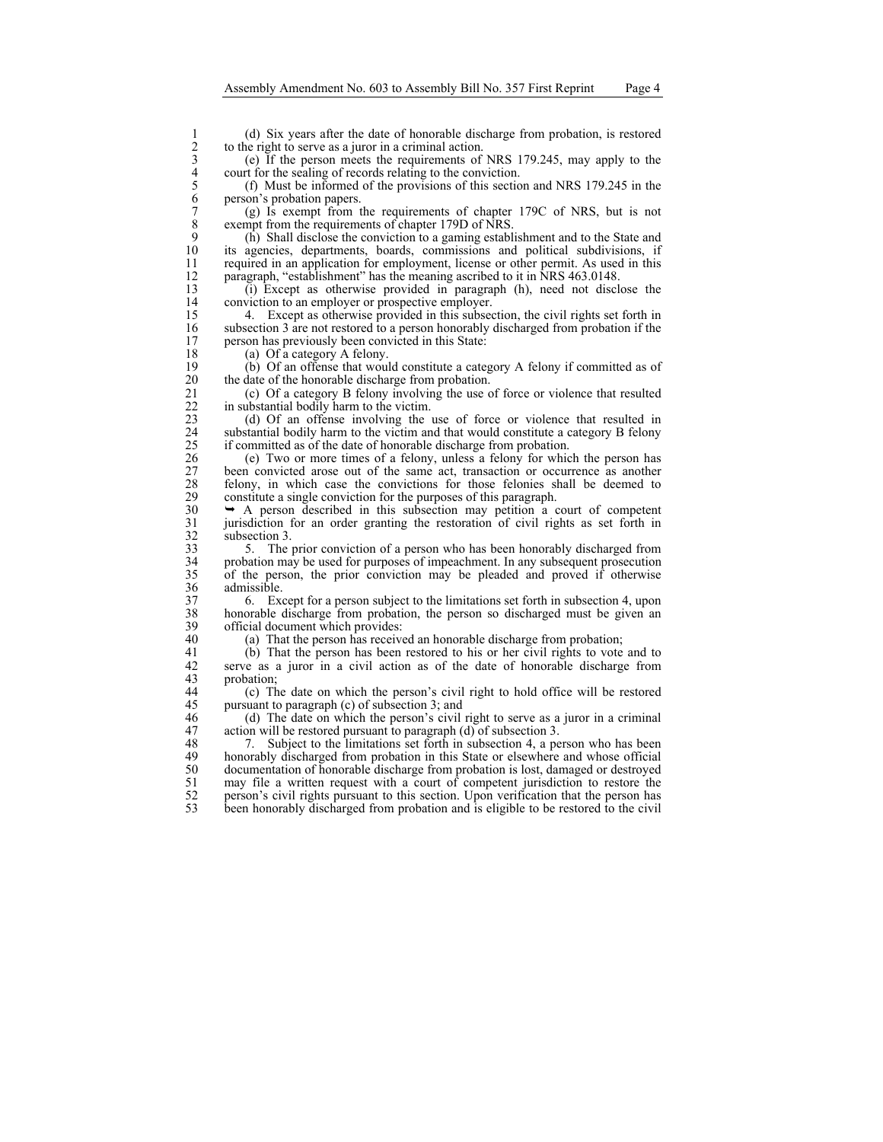1 (d) Six years after the date of honorable discharge from probation, is restored<br>
2 to the right to serve as a juror in a criminal action.<br>
2 (e) If the person meets the requirements of NRS 179.245, may apply to the<br>
2 co to the right to serve as a juror in a criminal action.

3 (e) If the person meets the requirements of NRS 179.245, may apply to the court for the sealing of records relating to the conviction.

5 (f) Must be informed of the provisions of this section and NRS 179.245 in the person's probation papers.

7 (g) Is exempt from the requirements of chapter 179C of NRS, but is not exempt from the requirements of chapter 179D of NRS. 8 exempt from the requirements of chapter 179D of NRS.<br>9 (b) Shall disclose the conviction to a gaming estable

9 (h) Shall disclose the conviction to a gaming establishment and to the State and its agencies, departments, boards, commissions and political subdivisions, if 11 required in an application for employment, license or other permit. As used in this 12 paragraph, "establishment" has the meaning ascribed to it in NRS 463.0148.<br>13 (i) Except as otherwise provided in paragraph (h), need not discle

13 (i) Except as otherwise provided in paragraph (h), need not disclose the 14 conviction to an employer or prospective employer.<br>15 4 Except as otherwise provided in this subset

15 4. Except as otherwise provided in this subsection, the civil rights set forth in 16 subsection 3 are not restored to a person honorably discharged from probation if the person has previously been convicted in this State: person has previously been convicted in this State:

18 (a) Of a category A felony.<br>19 (b) Of an offense that would 19 (b) Of an offense that would constitute a category A felony if committed as of the date of the honorable discharge from probation. the date of the honorable discharge from probation.

21 (c) Of a category B felony involving the use of force or violence that resulted in substantial bodily harm to the victim. 22 in substantial bodily harm to the victim.<br>23 (d) Of an offense involving the

23 (d) Of an offense involving the use of force or violence that resulted in 24 substantial bodily harm to the victim and that would constitute a category B felony<br>25 if committed as of the date of honorable discharge from probation. 25 if committed as of the date of honorable discharge from probation.<br>26 (e) Two or more times of a felony, unless a felony for which

26 (e) Two or more times of a felony, unless a felony for which the person has 27 been convicted arose out of the same act, transaction or occurrence as another felony, in which case the convictions for those felonies shall be deemed to 28 felony, in which case the convictions for those felonies shall be deemed to constitute a single conviction for the purposes of this paragraph. 29 constitute a single conviction for the purposes of this paragraph.<br>  $30 \rightarrow A$  person described in this subsection may petition a

 $30 \rightarrow A$  person described in this subsection may petition a court of competent jurisdiction for an order granting the restoration of civil rights as set forth in 31 jurisdiction for an order granting the restoration of civil rights as set forth in  $32$  subsection 3.<br>33 5. The

33 5. The prior conviction of a person who has been honorably discharged from<br>34 probation may be used for purposes of impeachment. In any subsequent prosecution 34 probation may be used for purposes of impeachment. In any subsequent prosecution 35 of the person, the prior conviction may be pleaded and proved if otherwise 36 admissible.<br>37 6. Exc

37 6. Except for a person subject to the limitations set forth in subsection 4, upon 38 honorable discharge from probation, the person so discharged must be given an 39 official document which provides:<br>40 (a) That the person has receive

40 (a) That the person has received an honorable discharge from probation;<br>41 (b) That the person has been restored to his or her civil rights to vote

41 (b) That the person has been restored to his or her civil rights to vote and to serve as a juror in a civil action as of the date of honorable discharge from 42 serve as a juror in a civil action as of the date of honorable discharge from probation;

44 (c) The date on which the person's civil right to hold office will be restored 45 pursuant to paragraph (c) of subsection 3; and

46 (d) The date on which the person's civil right to serve as a juror in a criminal 47 action will be restored pursuant to paragraph (d) of subsection 3.<br>48 7. Subject to the limitations set forth in subsection 4, a pe

48 7. Subject to the limitations set forth in subsection 4, a person who has been<br>49 honorably discharged from probation in this State or elsewhere and whose official honorably discharged from probation in this State or elsewhere and whose official 50 documentation of honorable discharge from probation is lost, damaged or destroyed<br>51 may file a written request with a court of competent jurisdiction to restore the 51 may file a written request with a court of competent jurisdiction to restore the person's civil rights pursuant to this section. Upon verification that the person has 52 person's civil rights pursuant to this section. Upon verification that the person has been honorably discharged from probation and is eligible to be restored to the civil been honorably discharged from probation and is eligible to be restored to the civil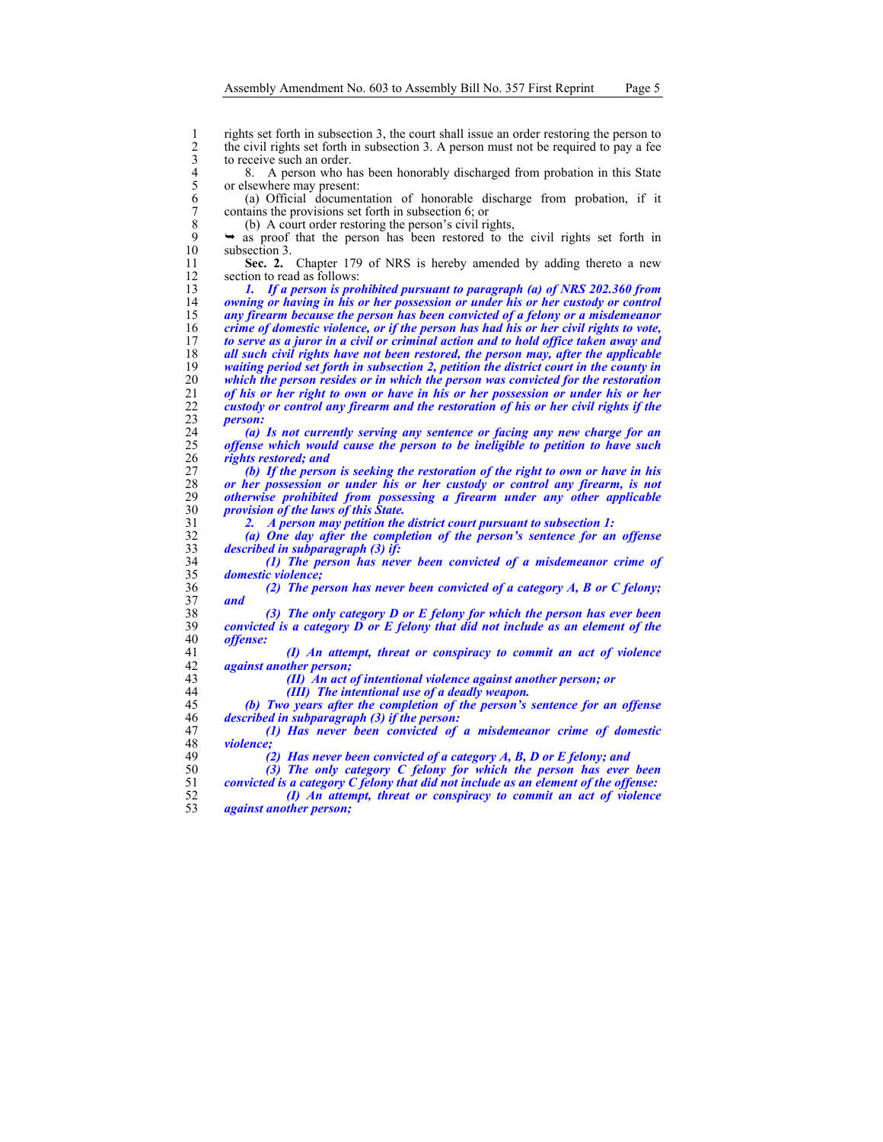1 rights set forth in subsection 3, the court shall issue an order restoring the person to<br>
2 the civil rights set forth in subsection 3. A person must not be required to pay a fee<br>
8. A person who has been honorably disch the civil rights set forth in subsection 3. A person must not be required to pay a fee to receive such an order.

8. A person who has been honorably discharged from probation in this State or elsewhere may present:

(a) Official documentation of honorable discharge from probation, if it 7 contains the provisions set forth in subsection 6; or 8 (b) A court order restoring the person's civil rig

8 (b) A court order restoring the person's civil rights,<br>9  $\rightarrow$  as proof that the person has been restored to the

9  $\rightarrow$  as proof that the person has been restored to the civil rights set forth in subsection 3. subsection 3.

**Sec. 2.** Chapter 179 of NRS is hereby amended by adding thereto a new 12 section to read as follows:<br>13  $\frac{1}{2}$   $\frac{1}{2}$   $\frac{1}{2}$   $\frac{1}{2}$   $\frac{1}{2}$   $\frac{1}{2}$   $\frac{1}{2}$   $\frac{1}{2}$   $\frac{1}{2}$   $\frac{1}{2}$   $\frac{1}{2}$   $\frac{1}{2}$   $\frac{1}{2}$   $\frac{1}{2}$   $\frac{1}{2}$   $\frac{1}{2}$   $\frac{1}{2}$   $\frac{1}{2}$   $\frac{1}{2$ 

*1. If a person is prohibited pursuant to paragraph (a) of NRS 202.360 from owning or having in his or her possession or under his or her custody or control*  any firearm because the person has been convicted of a felony or a misdemeanor *crime of domestic violence, or if the person has had his or her civil rights to vote,*  to serve as a juror in a civil or criminal action and to hold office taken away and *all such civil rights have not been restored, the person may, after the applicable waiting period set forth in subsection 2, petition the district court in the county in which the person resides or in which the person was convicted for the restoration of his or her right to own or have in his or her possession or under his or her custody or control any firearm and the restoration of his or her civil rights if the*   $person:$ 

*(a) Is not currently serving any sentence or facing any new charge for an offense which would cause the person to be ineligible to petition to have such rights restored; and* 

*(b) If the person is seeking the restoration of the right to own or have in his or her possession or under his or her custody or control any firearm, is not otherwise prohibited from possessing a firearm under any other applicable provision of the laws of this State.* 

*2. A person may petition the district court pursuant to subsection 1:* 

*(a) One day after the completion of the person's sentence for an offense described in subparagraph (3) if:* 

*(1) The person has never been convicted of a misdemeanor crime of domestic violence;* 

*(2) The person has never been convicted of a category A, B or C felony; and* 

*(3) The only category D or E felony for which the person has ever been*   $\emph{convicted}$  is a category  $\emph{D}$  or  $\emph{E}$  felony that did not include as an element of the *offense:* 

*(I) An attempt, threat or conspiracy to commit an act of violence against another person;* 

*(II) An act of intentional violence against another person; or* 

*(III) The intentional use of a deadly weapon.* 

*(b) Two years after the completion of the person's sentence for an offense described in subparagraph (3) if the person:* 

*(1) Has never been convicted of a misdemeanor crime of domestic violence;* 

*(2) Has never been convicted of a category A, B, D or E felony; and* 

*(3) The only category C felony for which the person has ever been convicted is a category C felony that did not include as an element of the offense:* 

*(I) An attempt, threat or conspiracy to commit an act of violence against another person;*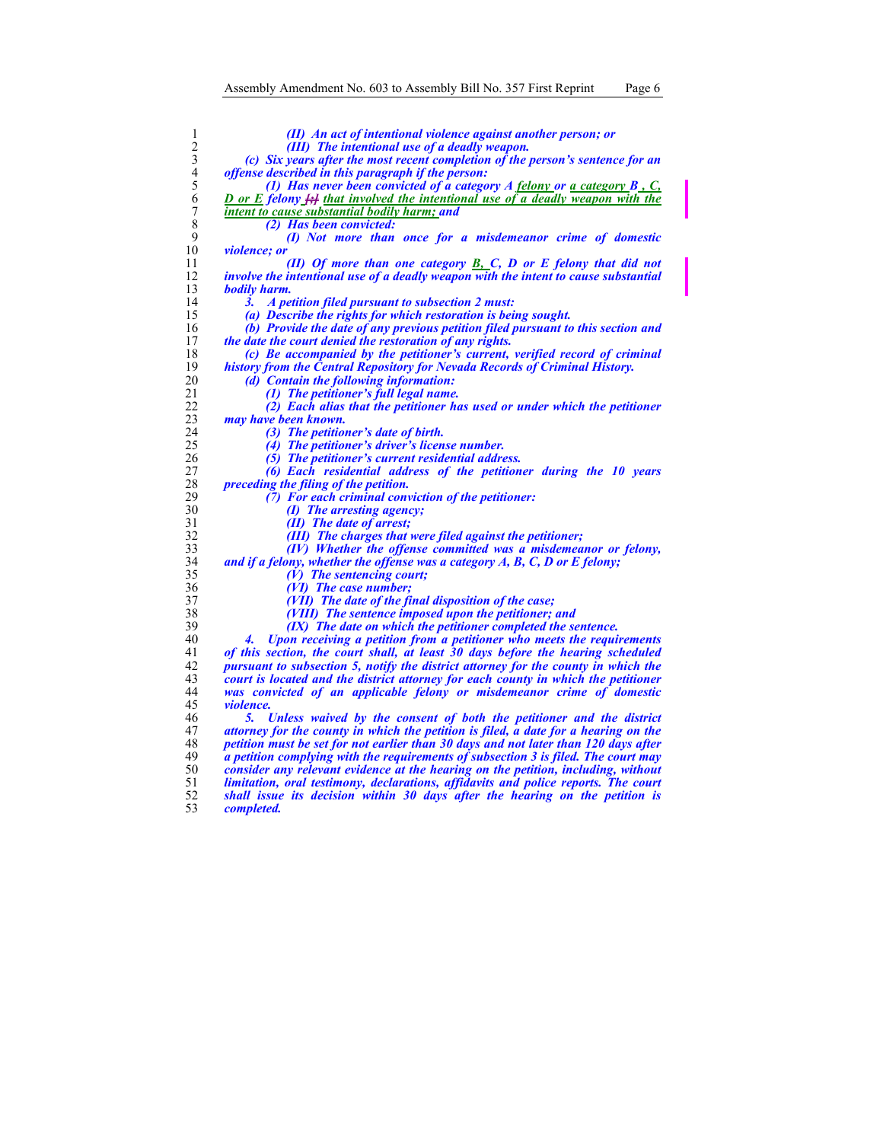$\frac{10}{11}$ 

*bodily harm.* 

20<br>
21<br>
22<br>
23<br>
24<br>
25<br>
26<br>
27<br>
28<br>
29<br>
30

*violence.* 

| 1              | (II) An act of intentional violence against another person; or                                                     |
|----------------|--------------------------------------------------------------------------------------------------------------------|
| $\overline{c}$ | (III) The intentional use of a deadly weapon.                                                                      |
| $\mathfrak{Z}$ | (c) Six years after the most recent completion of the person's sentence for an                                     |
| $\overline{4}$ | <i>offense described in this paragraph if the person:</i>                                                          |
| 5              | (1) Has never been convicted of a category $A$ felony or a category $B_1, C_2$                                     |
| 6              | <b>D</b> or E felony <b>H</b> that involved the intentional use of a deadly weapon with the                        |
| $\sqrt{ }$     | <b>intent to cause substantial bodily harm; and</b>                                                                |
| 8              | (2) Has been convicted:                                                                                            |
| 9              | (I) Not more than once for a misdemeanor crime of domestic                                                         |
| 10             | <i>violence: or</i>                                                                                                |
| 11             | (II) Of more than one category $\underline{B, C, D}$ or E felony that did not                                      |
| 12             | involve the intentional use of a deadly weapon with the intent to cause substantial                                |
| 13             | bodily harm.                                                                                                       |
| 14             | A petition filed pursuant to subsection 2 must:<br>3.                                                              |
| 15             | (a) Describe the rights for which restoration is being sought.                                                     |
| 16             | (b) Provide the date of any previous petition filed pursuant to this section and                                   |
| 17             | <i>the date the court denied the restoration of any rights.</i>                                                    |
| 18             | (c) Be accompanied by the petitioner's current, verified record of criminal                                        |
| 19<br>20       | history from the Central Repository for Nevada Records of Criminal History.                                        |
| 21             | (d) Contain the following information:                                                                             |
| 22             | (1) The petitioner's full legal name.<br>(2) Each alias that the petitioner has used or under which the petitioner |
| 23             | may have been known.                                                                                               |
| 24             | (3) The petitioner's date of birth.                                                                                |
| 25             | (4) The petitioner's driver's license number.                                                                      |
| 26             | (5) The petitioner's current residential address.                                                                  |
| 27             | (6) Each residential address of the petitioner during the 10 years                                                 |
| 28             | preceding the filing of the petition.                                                                              |
| 29             | (7) For each criminal conviction of the petitioner:                                                                |
| 30             | (I) The arresting agency;                                                                                          |
| 31             | (II) The date of arrest;                                                                                           |
| 32             | (III) The charges that were filed against the petitioner;                                                          |
| 33             | (IV) Whether the offense committed was a misdemeanor or felony,                                                    |
| 34             | and if a felony, whether the offense was a category $A, B, C, D$ or $E$ felony;                                    |
| 35             | $(V)$ The sentencing court;                                                                                        |
| 36             | (VI) The case number;                                                                                              |
| 37             | (VII) The date of the final disposition of the case;                                                               |
| 38             | (VIII) The sentence imposed upon the petitioner; and                                                               |
| 39             | (IX) The date on which the petitioner completed the sentence.                                                      |
| 40             | Upon receiving a petition from a petitioner who meets the requirements<br>4.                                       |
| 41             | of this section, the court shall, at least 30 days before the hearing scheduled                                    |
| 42             | pursuant to subsection 5, notify the district attorney for the county in which the                                 |
| 43             | court is located and the district attorney for each county in which the petitioner                                 |
| 44             | was convicted of an applicable felony or misdemeanor crime of domestic                                             |
| 45             | <i>violence.</i>                                                                                                   |
| 46             | Unless waived by the consent of both the petitioner and the district<br>5.                                         |
| 47             | attorney for the county in which the petition is filed, a date for a hearing on the                                |
| 48             | petition must be set for not earlier than 30 days and not later than 120 days after                                |
| 49             | a petition complying with the requirements of subsection 3 is filed. The court may                                 |
| 50             | consider any relevant evidence at the hearing on the petition, including, without                                  |

*limitation, oral testimony, declarations, affidavits and police reports. The court shall issue its decision within 30 days after the hearing on the petition is completed.*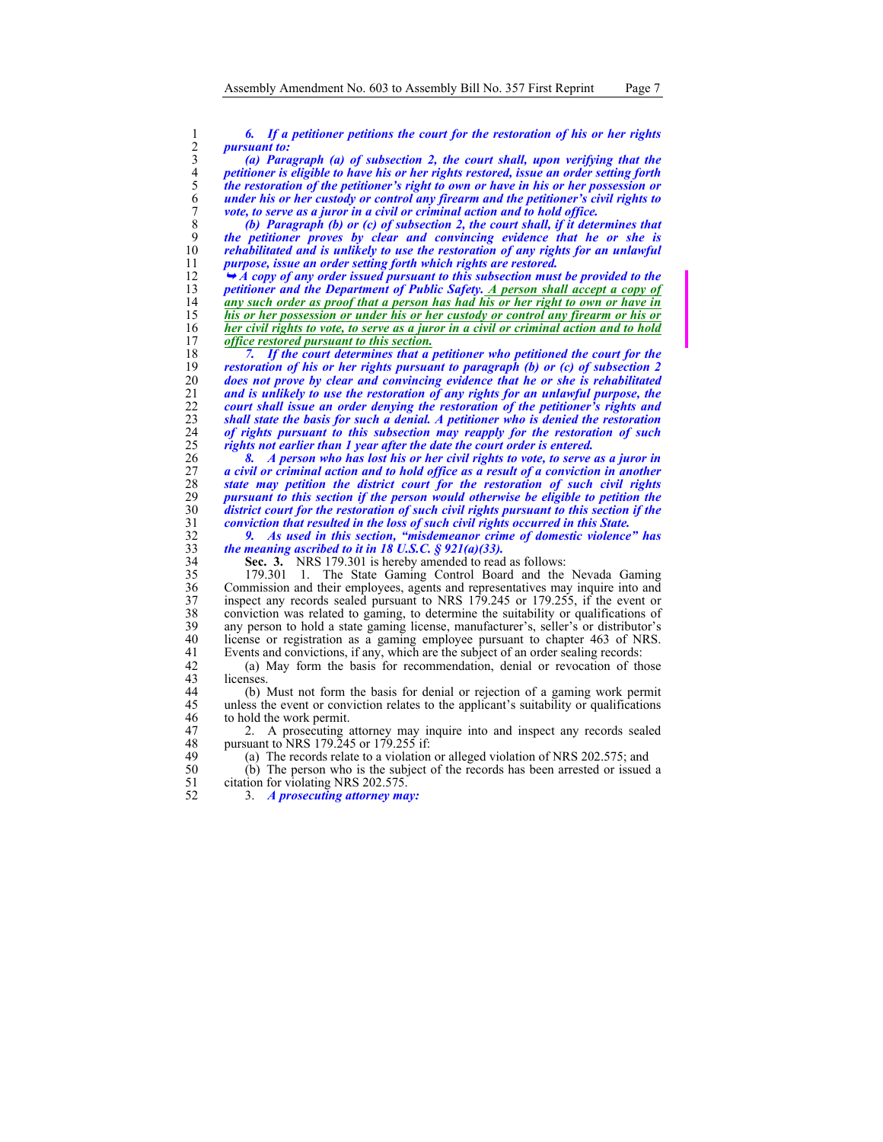2 *pursuant to:* 

**6.** If a petitioner petitions the court for the restoration of his or her rights<br>2 *f gursuant to:*<br>3 *f d Paragraph (a) of subsection 2, the court shall, upon verifying that the*<br>*petitioner is eligible to ha (a) Paragraph (a) of subsection 2, the court shall, upon verifying that the petitioner is eligible to have his or her rights restored, issue an order setting forth the restoration of the petitioner's right to own or have in his or her possession or under his or her custody or control any firearm and the petitioner's civil rights to vote, to serve as a juror in a civil or criminal action and to hold office.* 

*(b) Paragraph (b) or (c) of subsection 2, the court shall, if it determines that the petitioner proves by clear and convincing evidence that he or she is rehabilitated and is unlikely to use the restoration of any rights for an unlawful purpose, issue an order setting forth which rights are restored.* 

12 → *A copy of any order issued pursuant to this subsection must be provided to the peritioner and the Department of Public Safety. A person shall accept a copy of petitioner and the Department of Public Safety. A person shall accept a copy of any such order as proof that a person has had his or her right to own or have in his or her possession or under his or her custody or control any firearm or his or her civil rights to vote, to serve as a juror in a civil or criminal action and to hold* of *office restored pursuant to this section*. **office restored pursuant to this section.**<br>18 7. If the court determines that a

*7. If the court determines that a petitioner who petitioned the court for the restoration of his or her rights pursuant to paragraph (b) or (c) of subsection 2 does not prove by clear and convincing evidence that he or she is rehabilitated and is unlikely to use the restoration of any rights for an unlawful purpose, the court shall issue an order denying the restoration of the petitioner's rights and*  shall state the basis for such a denial. A petitioner who is denied the restoration *of rights pursuant to this subsection may reapply for the restoration of such rights not earlier than 1 year after the date the court order is entered.* 

*8. A person who has lost his or her civil rights to vote, to serve as a juror in a civil or criminal action and to hold office as a result of a conviction in another state may petition the district court for the restoration of such civil rights pursuant to this section if the person would otherwise be eligible to petition the district court for the restoration of such civil rights pursuant to this section if the conviction that resulted in the loss of such civil rights occurred in this State.* 

32 *9. As used in this section, "misdemeanor crime of domestic violence" has*  33 *the meaning ascribed to it in 18 U.S.C. § 921(a)(33).* 

Sec. 3. NRS 179.301 is hereby amended to read as follows:<br>179.301 1. The State Gaming Control Board and the 35 179.301 1. The State Gaming Control Board and the Nevada Gaming 36 Commission and their employees, agents and representatives may inquire into and inspect any records sealed pursuant to NRS 179.245 or 179.255, if the event or 37 inspect any records sealed pursuant to NRS 179.245 or 179.255, if the event or conviction was related to gaming, to determine the suitability or qualifications of 38 conviction was related to gaming, to determine the suitability or qualifications of any person to hold a state gaming license, manufacturer's, seller's or distributor's any person to hold a state gaming license, manufacturer's, seller's or distributor's 40 license or registration as a gaming employee pursuant to chapter 463 of NRS. 41 Events and convictions, if any, which are the subject of an order sealing records:

42 (a) May form the basis for recommendation, denial or revocation of those licenses.

44 (b) Must not form the basis for denial or rejection of a gaming work permit 45 unless the event or conviction relates to the applicant's suitability or qualifications 46 to hold the work permit.

47 2. A prosecuting attorney may inquire into and inspect any records sealed pursuant to NRS 179.245 or 179.255 if: 48 pursuant to NRS 179.245 or 179.255 if:<br>49 (a) The records relate to a violation

(a) The records relate to a violation or alleged violation of NRS 202.575; and

50 (b) The person who is the subject of the records has been arrested or issued a citation for violating NRS 202.575. citation for violating NRS 202.575.

52 3. *A prosecuting attorney may:*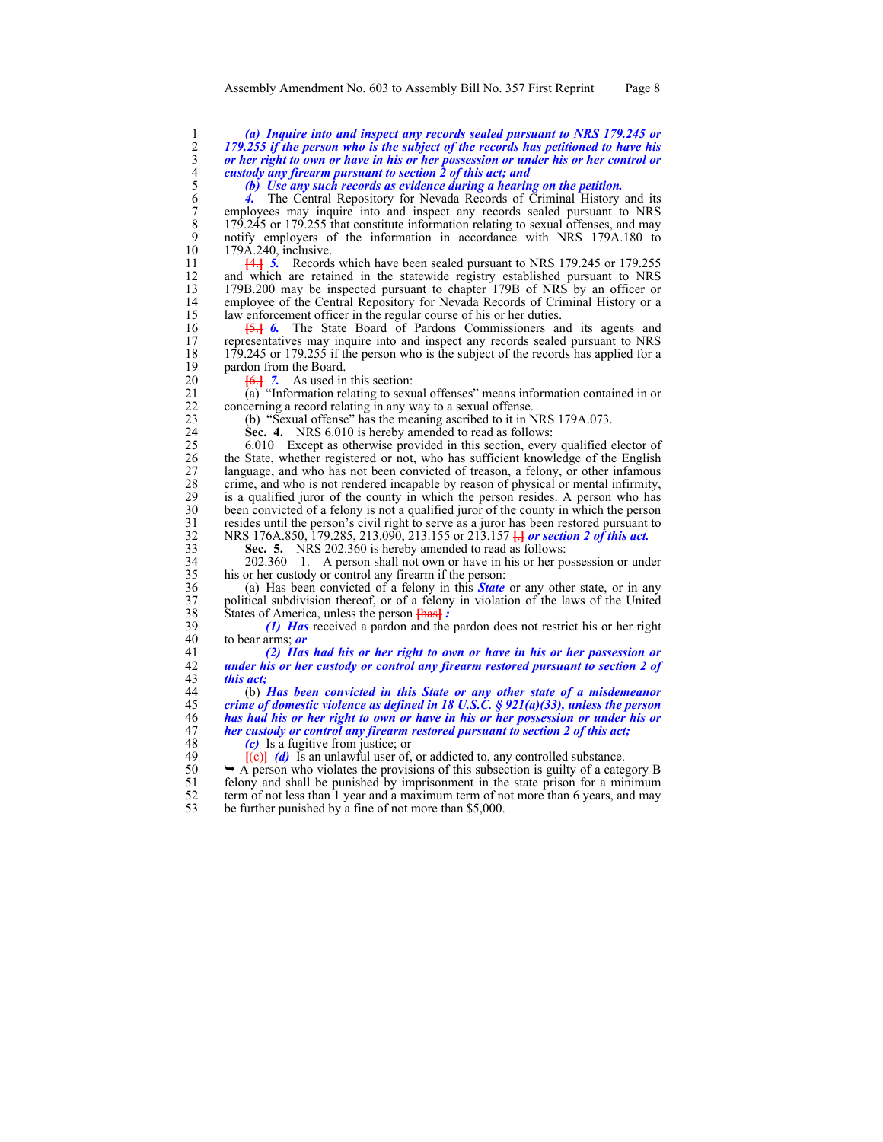# (a) Inquire into and inspect any records sealed pursuant to NRS 179.245 or 179.255 if the person who is the subject of the records has petitioned to have his or her right to own or have in his or her possession or under hi 2 *179.255 if the person who is the subject of the records has petitioned to have his*  3 *or her right to own or have in his or her possession or under his or her control or*  4 *custody any firearm pursuant to section 2 of this act; and*

5 *(b) Use any such records as evidence during a hearing on the petition.* 

6 *4.* The Central Repository for Nevada Records of Criminal History and its 7 employees may inquire into and inspect any records sealed pursuant to NRS<br>8 179.245 or 179.255 that constitute information relating to sexual offenses, and may 8 179.245 or 179.255 that constitute information relating to sexual offenses, and may<br>9 notify employers of the information in accordance with NRS 179A.180 to 9 notify employers of the information in accordance with NRS 179A.180 to  $179A.240$ , inclusive.

11 **[**4.**]** *5.* Records which have been sealed pursuant to NRS 179.245 or 179.255 12 and which are retained in the statewide registry established pursuant to NRS<br>13 179B.200 may be inspected pursuant to chapter 179B of NRS by an officer or 13 179B.200 may be inspected pursuant to chapter 179B of NRS by an officer or 14 employee of the Central Repository for Nevada Records of Criminal History or a<br>15 law enforcement officer in the regular course of his or her duties. 15 law enforcement officer in the regular course of his or her duties.<br>16 <del>15.1</del> 6. The State Board of Pardons Commissioners are

16 **[5.] 6.** The State Board of Pardons Commissioners and its agents and representatives may inquire into and inspect any records sealed pursuant to NRS 17 representatives may inquire into and inspect any records sealed pursuant to NRS<br>18 179.245 or 179.255 if the person who is the subject of the records has applied for a 18 179.245 or 179.255 if the person who is the subject of the records has applied for a pardon from the Board. 19 pardon from the Board.<br>20  $\overline{6}$   $\overline{10}$  7. As used in

20 **[6.]** 7. As used in this section:<br>21 **(a)** "Information relating to sexu 21 (a) "Information relating to sexual offenses" means information contained in or concerning a record relating in any way to a sexual offense. 22 concerning a record relating in any way to a sexual offense.<br>
23 (b) "Sexual offense" has the meaning ascribed to it in N

23 (b) "Sexual offense" has the meaning ascribed to it in NRS 179A.073.

24 **Sec. 4.** NRS 6.010 is hereby amended to read as follows:<br>25 6.010 Except as otherwise provided in this section, every 25 6.010 Except as otherwise provided in this section, every qualified elector of the State, whether registered or not, who has sufficient knowledge of the English 26 the State, whether registered or not, who has sufficient knowledge of the English 27 language, and who has not been convicted of treason, a felony, or other infamous crime, and who is not rendered incapable by reason of physical or mental infirmity, 28 crime, and who is not rendered incapable by reason of physical or mental infirmity,<br>29 is a qualified juror of the county in which the person resides. A person who has 29 is a qualified juror of the county in which the person resides. A person who has been convicted of a felony is not a qualified juror of the county in which the person 30 been convicted of a felony is not a qualified juror of the county in which the person<br>31 resides until the person's civil right to serve as a juror has been restored pursuant to 31 resides until the person's civil right to serve as a juror has been restored pursuant to  $NRS$  176A.850, 179.285, 213.090, 213.155 or 213.157  $\frac{1}{10}$  or section 2 of this act. 32 NRS 176A.850, 179.285, 213.090, 213.155 or 213.157 **[**.**]** *or section 2 of this act.*

33 **Sec. 5.** NRS 202.360 is hereby amended to read as follows:

34 202.360 1. A person shall not own or have in his or her possession or under 35 his or her custody or control any firearm if the person:

36 (a) Has been convicted of a felony in this *State* or any other state, or in any 37 political subdivision thereof, or of a felony in violation of the laws of the United States of America, unless the person Heash : 38 States of America, unless the person  $\frac{\text{[has]}}{\text{[has]}}$ :<br>39 (1) **Has** received a pardon and the

39 *(1) Has* received a pardon and the pardon does not restrict his or her right 40 to bear arms; *or* 

41 *(2) Has had his or her right to own or have in his or her possession or*  42 *under his or her custody or control any firearm restored pursuant to section 2 of this act;* 

44 (b) *Has been convicted in this State or any other state of a misdemeanor crime of domestic violence as defined in 18 U.S.C. § 921(a)(33), unless the person has had his or her right to own or have in his or her possession or under his or her custody or control any firearm restored pursuant to section 2 of this act;* $\frac{48}{100}$  **(c) Is a fugitive from justice; or** 

48 *(c)* Is a fugitive from justice; or<br>49 **(d)** Is an unlawful user of.

**[(e)]** (d) Is an unlawful user of, or addicted to, any controlled substance.

 $50 \rightarrow A$  person who violates the provisions of this subsection is guilty of a category B felony and shall be punished by imprisonment in the state prison for a minimum  $51$  felony and shall be punished by imprisonment in the state prison for a minimum  $52$  term of not less than 1 year and a maximum term of not more than 6 years, and may 52 term of not less than  $\overline{1}$  year and a maximum term of not more than 6 years, and may be further punished by a fine of not more than \$5.000. be further punished by a fine of not more than \$5,000.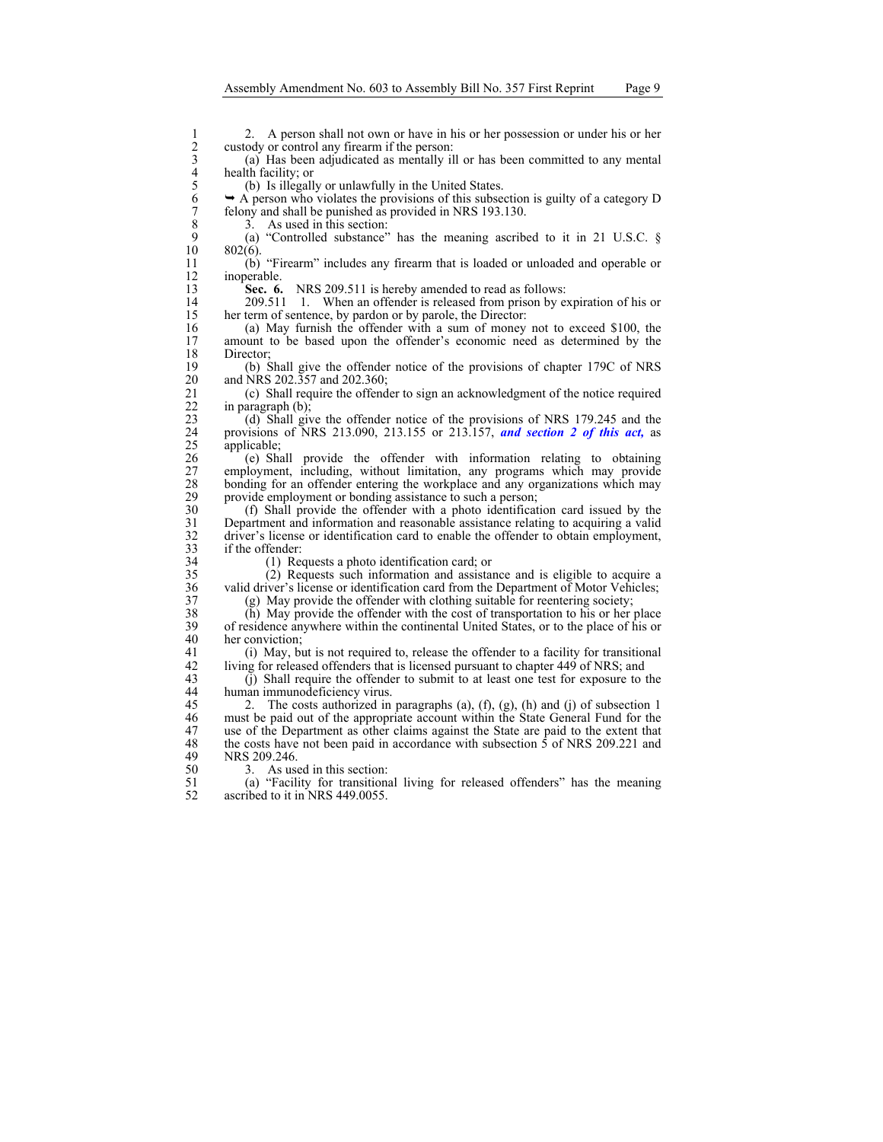2 2. A person shall not own or have in his or her possession or under his or her custody or control any firearm if the person:<br>
3 (a) Has been adjudicated as mentally ill or has been committed to any mental health facility custody or control any firearm if the person:

3 (a) Has been adjudicated as mentally ill or has been committed to any mental 4 health facility; or<br>5 (b) Is illegall

5 (b) Is illegally or unlawfully in the United States.<br>6  $\rightarrow$  A person who violates the provisions of this subset  $6 \rightarrow A$  person who violates the provisions of this subsection is guilty of a category D felony and shall be punished as provided in NRS 193.130. 7 felony and shall be punished as provided in NRS 193.130.<br>3. As used in this section:

8 3. As used in this section:<br>9 (a) "Controlled substance" 9 (a) "Controlled substance" has the meaning ascribed to it in 21 U.S.C. § 10 802(6).  $802(6)$ .

11 (b) "Firearm" includes any firearm that is loaded or unloaded and operable or 12 inoperable.<br>13 **Sec. 6.** 

**Sec. 6.** NRS 209.511 is hereby amended to read as follows:

14 209.511 1. When an offender is released from prison by expiration of his or 15 her term of sentence, by pardon or by parole, the Director:

16 (a) May furnish the offender with a sum of money not to exceed \$100, the amount to be based upon the offender's economic need as determined by the amount to be based upon the offender's economic need as determined by the 18 Director;<br>19 (b) S

19 (b) Shall give the offender notice of the provisions of chapter 179C of NRS and NRS 202.357 and 202.360;

21 (c) Shall require the offender to sign an acknowledgment of the notice required in paragraph (b): 22 in paragraph (b);<br>23 (d) Shall give

23 (d) Shall give the offender notice of the provisions of NRS 179.245 and the 24 provisions of NRS 213.090, 213.155 or 213.157, **and section 2 of this act**, as applicable;<br>26 (e) Shall provide the offender with information relating to obtaining

26 (e) Shall provide the offender with information relating to obtaining 27 employment, including, without limitation, any programs which may provide bonding for an offender entering the workplace and any organizations which may 28 bonding for an offender entering the workplace and any organizations which may provide employment or bonding assistance to such a person: 29 provide employment or bonding assistance to such a person;

30 (f) Shall provide the offender with a photo identification card issued by the 31 Department and information and reasonable assistance relating to acquiring a valid 32 driver's license or identification card to enable the offender to obtain employment, if the offender: 33 if the offender:<br>34 (1) Rec

 $(1)$  Requests a photo identification card; or

35 (2) Requests such information and assistance and is eligible to acquire a 36 valid driver's license or identification card from the Department of Motor Vehicles;

37 (g) May provide the offender with clothing suitable for reentering society;

38 (h) May provide the offender with the cost of transportation to his or her place<br>39 of residence anywhere within the continental United States, or to the place of his or 39 of residence anywhere within the continental United States, or to the place of his or 40 her conviction;

41 (i) May, but is not required to, release the offender to a facility for transitional 42 living for released offenders that is licensed pursuant to chapter 449 of NRS; and 43 (i) Shall require the offender to submit to at least one test for exposure to t

43 (j) Shall require the offender to submit to at least one test for exposure to the 44 human immunodeficiency virus.

45 2. The costs authorized in paragraphs (a), (f), (g), (h) and (j) of subsection 1 46 must be paid out of the appropriate account within the State General Fund for the 47 use of the Department as other claims against the State are paid to the extent that the costs have not been paid in accordance with subsection 5 of NRS 209.221 and 48 the costs have not been paid in accordance with subsection  $\hat{5}$  of NRS 209.221 and NRS 209.246. NRS 209.246.

50 3. As used in this section:<br>51 (a) "Facility for transitional

51 (a) "Facility for transitional living for released offenders" has the meaning ascribed to it in NRS 449.0055.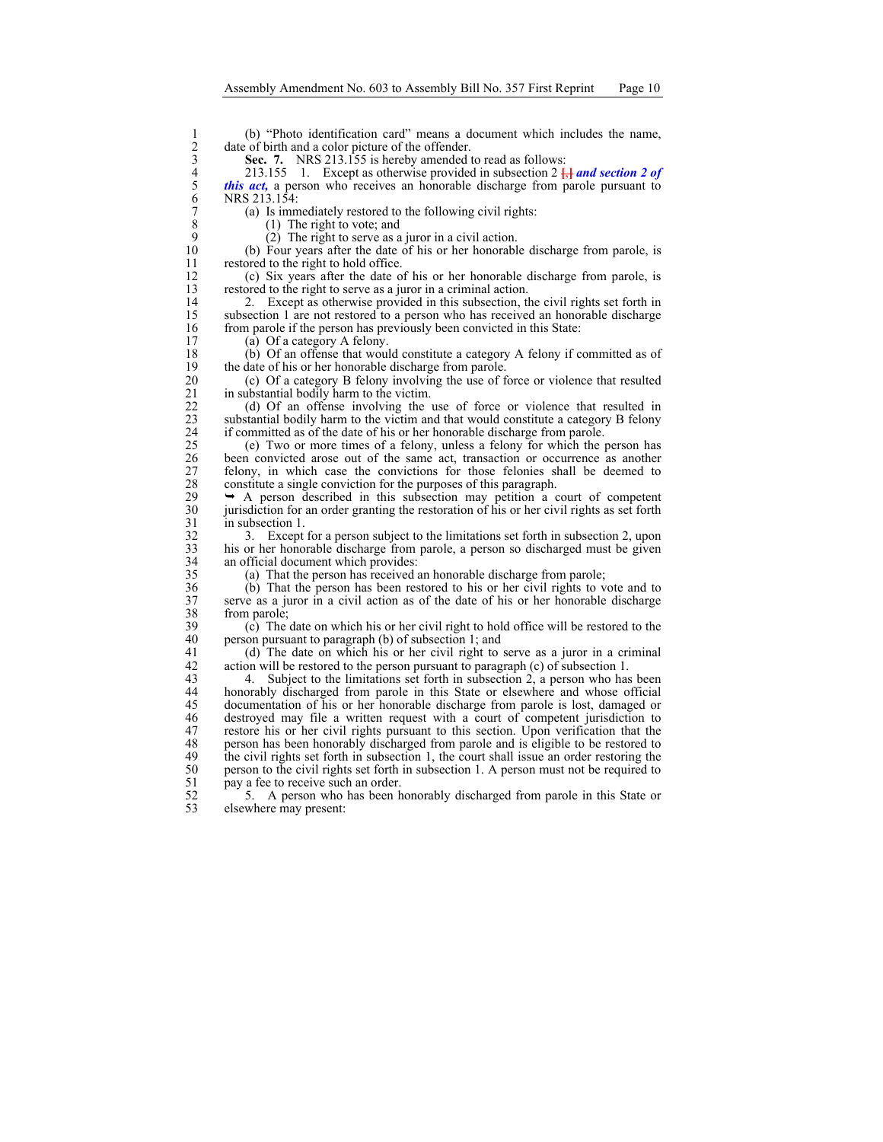date of birth and a color picture of the offender.

Sec. 7. NRS 213.155 is hereby amended to read as follows:

(b) "Photo identification card" means a document which includes the name,<br>
2 date of birth and a color picture of the offender.<br>
3 Sec. 7. NRS 213.155 is hereby amended to read as follows:<br>
4 213.155 1. Except as otherwise 4 213.155 1. Except as otherwise provided in subsection 2 **[**,**]** *and section 2 of this act*, a person who receives an honorable discharge from parole pursuant to NRS 213.154:

7 (a) Is immediately restored to the following civil rights:<br>8 (1) The right to vote; and

8 (1) The right to vote; and  $\begin{array}{cc} (1) & \text{The right to set;} \\ (2) & \text{The right to serve as a} \end{array}$ 

9 (2) The right to serve as a juror in a civil action.<br>10 (b) Four years after the date of his or her honorable 10 (b) Four years after the date of his or her honorable discharge from parole, is restored to the right to hold office. restored to the right to hold office.

12 (c) Six years after the date of his or her honorable discharge from parole, is restored to the right to serve as a juror in a criminal action. restored to the right to serve as a juror in a criminal action.

14 2. Except as otherwise provided in this subsection, the civil rights set forth in subsection 1 are not restored to a person who has received an honorable discharge subsection 1 are not restored to a person who has received an honorable discharge 16 from parole if the person has previously been convicted in this State:<br>17 (a) Of a category A felony.

 $(a)$  Of a category A felony.

18 (b) Of an offense that would constitute a category A felony if committed as of the date of his or her honorable discharge from parole. 19 the date of his or her honorable discharge from parole.<br>20 (c) Of a category B felony involving the use of f

20 (c) Of a category B felony involving the use of force or violence that resulted in substantial bodily harm to the victim. 21 in substantial bodily harm to the victim.<br>22 (d) Of an offense involving the

22 (d) Of an offense involving the use of force or violence that resulted in substantial bodily harm to the victim and that would constitute a category B felony substantial bodily harm to the victim and that would constitute a category B felony

24 if committed as of the date of his or her honorable discharge from parole.<br>25 (e) Two or more times of a felony, unless a felony for which the p 25 (e) Two or more times of a felony, unless a felony for which the person has been convicted arose out of the same act, transaction or occurrence as another 27 felony, in which case the convictions for those felonies shall be deemed to constitute a single conviction for the purposes of this paragraph. 28 constitute a single conviction for the purposes of this paragraph.<br>29  $\rightarrow$  A person described in this subsection may petition a c

29  $\rightarrow$  A person described in this subsection may petition a court of competent jurisdiction for an order granting the restoration of his or her civil rights as set forth 30 jurisdiction for an order granting the restoration of his or her civil rights as set forth in subsection 1. 31 in subsection 1.<br>32 3. Except

32 3. Except for a person subject to the limitations set forth in subsection 2, upon<br>33 bis or her honorable discharge from parole, a person so discharged must be given 33 his or her honorable discharge from parole, a person so discharged must be given an official document which provides:

35 (a) That the person has received an honorable discharge from parole;

36 (b) That the person has been restored to his or her civil rights to vote and to serve as a juror in a civil action as of the date of his or her honorable discharge 37 serve as a juror in a civil action as of the date of his or her honorable discharge  $38$  from parole;<br>39 (c) The

39 (c) The date on which his or her civil right to hold office will be restored to the person pursuant to paragraph (b) of subsection 1; and person pursuant to paragraph (b) of subsection 1; and

41 (d) The date on which his or her civil right to serve as a juror in a criminal action will be restored to the person pursuant to paragraph (c) of subsection 1. 42 action will be restored to the person pursuant to paragraph (c) of subsection 1.<br>43 4. Subject to the limitations set forth in subsection 2, a person who has

Subject to the limitations set forth in subsection 2, a person who has been 44 honorably discharged from parole in this State or elsewhere and whose official 45 documentation of his or her honorable discharge from parole is lost, damaged or 46 destroyed may file a written request with a court of competent jurisdiction to 47 restore his or her civil rights pursuant to this section. Upon verification that the person has been honorably discharged from parole and is eligible to be restored to 48 person has been honorably discharged from parole and is eligible to be restored to the civil rights set forth in subsection 1, the court shall issue an order restoring the the civil rights set forth in subsection 1, the court shall issue an order restoring the 50 person to the civil rights set forth in subsection 1. A person must not be required to pay a fee to receive such an order. 51 pay a fee to receive such an order.<br>52 5. A person who has been h

52 5. A person who has been honorably discharged from parole in this State or elsewhere may present: elsewhere may present: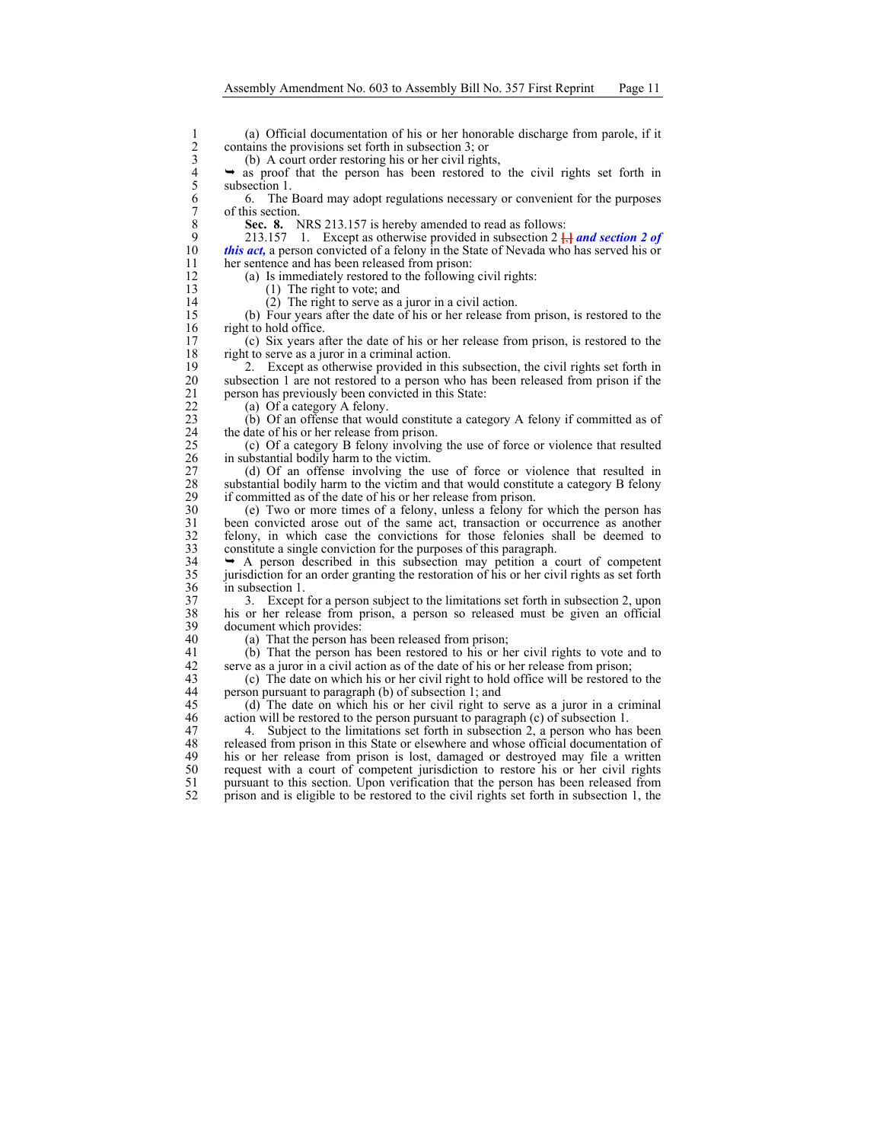(a) Official documentation of his or her honorable discharge from parole, if it<br>
2 contains the provisions set forth in subsection 3; or<br>
3 (b) A court order restoring his or her civil rights,<br>  $\rightarrow$  as proof that the perso contains the provisions set forth in subsection 3; or

(b) A court order restoring his or her civil rights,

 $\rightarrow$  as proof that the person has been restored to the civil rights set forth in subsection 1.

6 6. The Board may adopt regulations necessary or convenient for the purposes 7 of this section.<br>8 Sec. 8.  $\lambda$ 

8 **Sec. 8.** NRS 213.157 is hereby amended to read as follows:<br>9 213.157 1. Except as otherwise provided in subsection 2  $\frac{1}{6}$ 

9 213.157 1. Except as otherwise provided in subsection 2  $\frac{1}{k}$  **and section 2 of** this act, a person convicted of a felony in the State of Nevada who has served his or this act, a person convicted of a felony in the State of Nevada who has served his or 11 her sentence and has been released from prison:

12 (a) Is immediately restored to the following civil rights:<br>13 (1) The right to vote; and

 $(1)$  The right to vote; and

14 (2) The right to serve as a juror in a civil action.<br>15 (b) Four years after the date of his or her release from

15 (b) Four years after the date of his or her release from prison, is restored to the 16 right to hold office.<br>17 (c) Six years at

17 (c) Six years after the date of his or her release from prison, is restored to the 18 right to serve as a juror in a criminal action.<br>19 2. Except as otherwise provided in thi

19 2. Except as otherwise provided in this subsection, the civil rights set forth in 20 subsection 1 are not restored to a person who has been released from prison if the subsection 1 are not restored to a person who has been released from prison if the 21 person has previously been convicted in this State:<br>22 (a) Of a category A felony.

22 (a) Of a category A felony.<br>23 (b) Of an offense that would (b) Of an offense that would constitute a category A felony if committed as of 24 the date of his or her release from prison.<br>25 (c) Of a category B felony involving

25 (c) Of a category B felony involving the use of force or violence that resulted in substantial bodily harm to the victim.

27 (d) Of an offense involving the use of force or violence that resulted in substantial bodily harm to the victim and that would constitute a category B felony 28 substantial bodily harm to the victim and that would constitute a category B felony if committed as of the date of his or her release from prison. 29 if committed as of the date of his or her release from prison.<br>30 (e) Two or more times of a felony, unless a felony fo

30 (e) Two or more times of a felony, unless a felony for which the person has 31 been convicted arose out of the same act, transaction or occurrence as another felony, in which case the convictions for those felonies shall be deemed to 32 felony, in which case the convictions for those felonies shall be deemed to constitute a single conviction for the purposes of this paragraph. 33 constitute a single conviction for the purposes of this paragraph.<br>34  $\rightarrow$  A person described in this subsection may petition a c

 $\rightarrow$  A person described in this subsection may petition a court of competent 35 jurisdiction for an order granting the restoration of his or her civil rights as set forth 36 in subsection 1.<br>37 3. Except

37 3. Except for a person subject to the limitations set forth in subsection 2, upon 138 bis or her release from prison, a person so released must be given an official 38 his or her release from prison, a person so released must be given an official 39 document which provides:<br>40 (a) That the person has

(a) That the person has been released from prison;

41 (b) That the person has been restored to his or her civil rights to vote and to serve as a juror in a civil action as of the date of his or her release from prison. 42 serve as a juror in a civil action as of the date of his or her release from prison;<br>43 (c) The date on which his or her civil right to hold office will be restored to

43 (c) The date on which his or her civil right to hold office will be restored to the 44 person pursuant to paragraph (b) of subsection 1; and

45 (d) The date on which his or her civil right to serve as a juror in a criminal action will be restored to the person pursuant to paragraph (c) of subsection 1. action will be restored to the person pursuant to paragraph  $(c)$  of subsection 1.

47 4. Subject to the limitations set forth in subsection 2, a person who has been<br>48 released from prison in this State or elsewhere and whose official documentation of 48 released from prison in this State or elsewhere and whose official documentation of his or her release from prison is lost, damaged or destroyed may file a written his or her release from prison is lost, damaged or destroyed may file a written 50 request with a court of competent jurisdiction to restore his or her civil rights<br>51 pursuant to this section. Upon verification that the person has been released from 51 pursuant to this section. Upon verification that the person has been released from prison and is eligible to be restored to the civil rights set forth in subsection 1, the 52 prison and is eligible to be restored to the civil rights set forth in subsection 1, the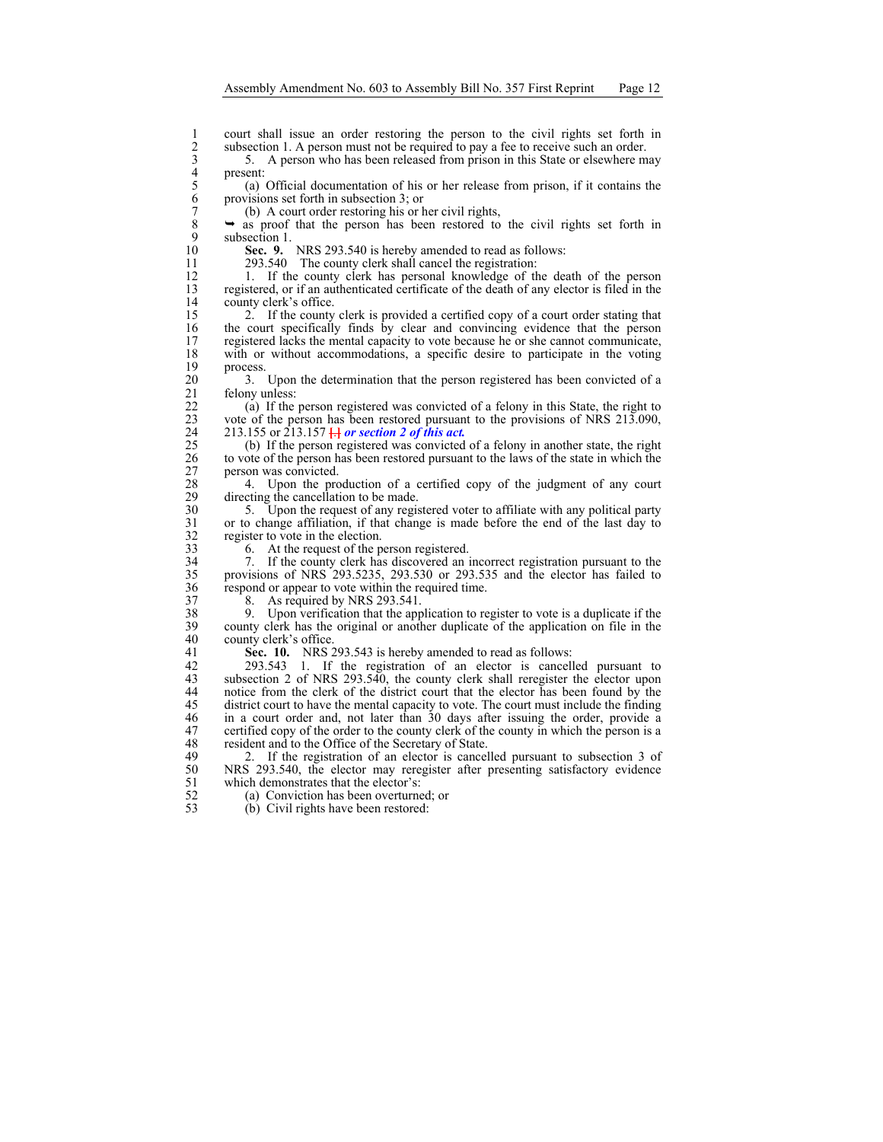subsection 1. A person must not be required to pay a fee to receive such an order.

3 5. A person who has been released from prison in this State or elsewhere may present:

1 court shall issue an order restoring the person to the civil rights set forth in subsection 1. A person must not be required to pay a fee to receive such an order.<br>
5. A person who has been released from prison in this S 5 (a) Official documentation of his or her release from prison, if it contains the provisions set forth in subsection 3; or

7 (b) A court order restoring his or her civil rights,<br> $8 \rightarrow$  as proof that the person has been restored to  $8 \rightarrow$  as proof that the person has been restored to the civil rights set forth in subsection 1. 9 subsection 1.<br>10 Sec. 9.

**Sec. 9.** NRS 293.540 is hereby amended to read as follows: 11 293.540 The county clerk shall cancel the registration:

12 1. If the county clerk has personal knowledge of the death of the person<br>13 registered, or if an authenticated certificate of the death of any elector is filed in the registered, or if an authenticated certificate of the death of any elector is filed in the 14 county clerk's office.<br>15 2 If the county

2. If the county clerk is provided a certified copy of a court order stating that 16 the court specifically finds by clear and convincing evidence that the person registered lacks the mental capacity to vote because he or she cannot communicate. registered lacks the mental capacity to vote because he or she cannot communicate, 18 with or without accommodations, a specific desire to participate in the voting  $\begin{array}{cc} 19 & \text{process.} \\ 20 & 3. \end{array}$ 

20 3. Upon the determination that the person registered has been convicted of a felony unless: 21 felony unless:<br>22 (a) If the

22 (a) If the person registered was convicted of a felony in this State, the right to vote of the person has been restored pursuant to the provisions of NRS 213.090, 23 vote of the person has been restored pursuant to the provisions of NRS 213.090, 24 213.155 or 213.157 *a l**or section 2 of this act.* (b) If the person registered was convicted

25 (b) If the person registered was convicted of a felony in another state, the right to vote of the person has been restored pursuant to the laws of the state in which the 26 to vote of the person has been restored pursuant to the laws of the state in which the 27 person was convicted.<br>28 4. Upon the pro-

28 4. Upon the production of a certified copy of the judgment of any court directing the cancellation to be made. 29 directing the cancellation to be made.<br>30  $\frac{5}{2}$  Upon the request of any regis

30 5. Upon the request of any registered voter to affiliate with any political party 31 or to change affiliation, if that change is made before the end of the last day to 32 register to vote in the election.<br>33 6. At the request of the p

33 6. At the request of the person registered.<br>34 7. If the county clerk has discovered an i

34 7. If the county clerk has discovered an incorrect registration pursuant to the 35 provisions of NRS 293.5235, 293.530 or 293.535 and the elector has failed to 36 respond or appear to vote within the required time.<br>37 8. As required by NRS 293.541.

37 8. As required by NRS 293.541.<br>38 9. Upon verification that the app 38 9. Upon verification that the application to register to vote is a duplicate if the 39 county clerk has the original or another duplicate of the application on file in the county clerk's office.

41 **Sec. 10.** NRS 293.543 is hereby amended to read as follows:<br>42 293.543 1. If the registration of an elector is cancell

42 293.543 1. If the registration of an elector is cancelled pursuant to subsection 2 of NRS 293.540, the county clerk shall reregister the elector upon subsection 2 of NRS 293.540, the county clerk shall reregister the elector upon 44 notice from the clerk of the district court that the elector has been found by the 45 district court to have the mental capacity to vote. The court must include the finding 46 in a court order and, not later than 30 days after issuing the order, provide a 47 certified copy of the order to the county clerk of the county in which the person is a resident and to the Office of the Secretary of State. 48 resident and to the Office of the Secretary of State.<br>49 2. If the registration of an elector is cancel

2. If the registration of an elector is cancelled pursuant to subsection 3 of 50 NRS 293.540, the elector may reregister after presenting satisfactory evidence which demonstrates that the elector's: 51 which demonstrates that the elector's:<br>52 (a) Conviction has been overturned

 $52$  (a) Conviction has been overturned; or  $53$  (b) Civil rights have been restored:

 $(b)$  Civil rights have been restored: